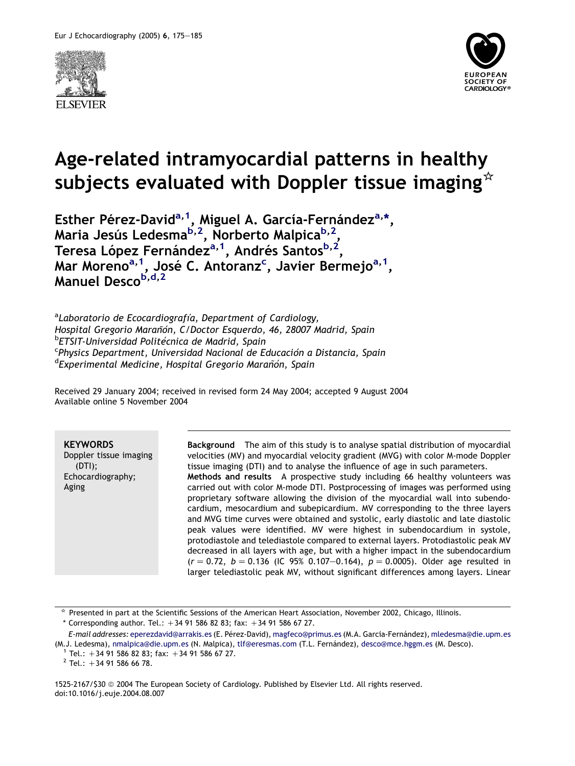



# Age-related intramyocardial patterns in healthy subjects evaluated with Doppler tissue imaging  $\dot{\mathbf{x}}$

Esther Pérez-David<sup>a, 1</sup>, Miguel A. García-Fernández<sup>a,\*</sup>, Maria Jesús Ledesma<sup>b,2</sup>, Norberto Malpica<sup>b,2</sup>, Teresa López Fernández<sup>a, 1</sup>, Andrés Santos<sup>b, 2</sup>, Mar Moreno<sup>a, 1</sup>, José C. Antoranz<sup>c</sup>, Javier Bermejo<sup>a, 1</sup>, Manuel Desco<sup>b,d,2</sup>

aLaboratorio de Ecocardiografía, Department of Cardiology, Hospital Gregorio Marañón, C/Doctor Esquerdo, 46, 28007 Madrid, Spain <sup>b</sup>ETSIT-Universidad Politécnica de Madrid, Spain<br><sup>C</sup>Physics Department, Universidad Nacional de E  $c$ Physics Department, Universidad Nacional de Educación a Distancia, Spain <sup>d</sup>Experimental Medicine, Hospital Gregorio Marañón, Spain

Received 29 January 2004; received in revised form 24 May 2004; accepted 9 August 2004 Available online 5 November 2004

**KEYWORDS** 

Doppler tissue imaging (DTI); Echocardiography; Aging

Background The aim of this study is to analyse spatial distribution of myocardial velocities (MV) and myocardial velocity gradient (MVG) with color M-mode Doppler tissue imaging (DTI) and to analyse the influence of age in such parameters. Methods and results A prospective study including 66 healthy volunteers was carried out with color M-mode DTI. Postprocessing of images was performed using proprietary software allowing the division of the myocardial wall into subendocardium, mesocardium and subepicardium. MV corresponding to the three layers and MVG time curves were obtained and systolic, early diastolic and late diastolic peak values were identified. MV were highest in subendocardium in systole, protodiastole and telediastole compared to external layers. Protodiastolic peak MV decreased in all layers with age, but with a higher impact in the subendocardium  $(r = 0.72, b = 0.136$  (IC 95% 0.107-0.164),  $p = 0.0005$ ). Older age resulted in larger telediastolic peak MV, without significant differences among layers. Linear

 $*$  Presented in part at the Scientific Sessions of the American Heart Association, November 2002, Chicago, Illinois. \* Corresponding author. Tel.:  $+34$  91 586 82 83; fax:  $+34$  91 586 67 27.

E-mail addresses: [eperezdavid@arrakis.es](mailto:eperezdavid@arrakis.es) (E. Pérez-David), [magfeco@primus.es](mailto:magfeco@primus.es) (M.A. García-Fernández), [mledesma@die.upm.es](mailto:mledesma@die.upm.es) (M.J. Ledesma), [nmalpica@die.upm.es](mailto:nmalpica@die.upm.es) (N. Malpica), [tlf@eresmas.com](mailto:tlf@eresmas.com) (T.L. Fernández), [desco@mce.hggm.es](mailto:desco@mce.hggm.es) (M. Desco).<br><sup>1</sup> Tel.: +34 91 586 82 83; fax: +34 91 586 67 27.<br><sup>2</sup> Tel.: +34 91 586 66 78.

1525-2167/\$30 ª 2004 The European Society of Cardiology. Published by Elsevier Ltd. All rights reserved. doi:10.1016/j.euje.2004.08.007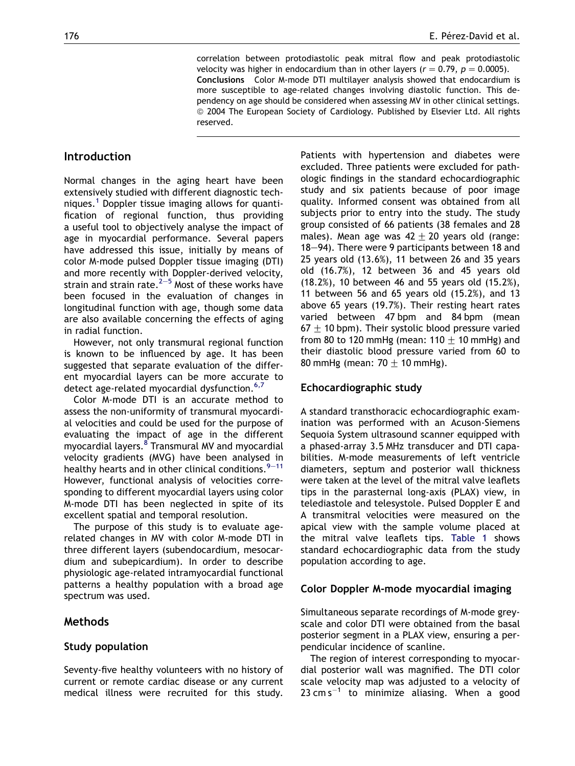correlation between protodiastolic peak mitral flow and peak protodiastolic velocity was higher in endocardium than in other layers ( $r = 0.79$ ,  $p = 0.0005$ ). Conclusions Color M-mode DTI multilayer analysis showed that endocardium is more susceptible to age-related changes involving diastolic function. This dependency on age should be considered when assessing MV in other clinical settings. ª 2004 The European Society of Cardiology. Published by Elsevier Ltd. All rights reserved.

#### Introduction

Normal changes in the aging heart have been extensively studied with different diagnostic tech-niques.<sup>[1](#page-9-0)</sup> Doppler tissue imaging allows for quantification of regional function, thus providing a useful tool to objectively analyse the impact of age in myocardial performance. Several papers have addressed this issue, initially by means of color M-mode pulsed Doppler tissue imaging (DTI) and more recently with Doppler-derived velocity, strain and strain rat[e](#page-9-0).<sup>2-5</sup> Most of these works have been focused in the evaluation of changes in longitudinal function with age, though some data are also available concerning the effects of aging in radial function.

However, not only transmural regional function is known to be influenced by age. It has been suggested that separate evaluation of the different myocardial layers can be more accurate to detect age-related myocardial dysfunction.<sup>[6,7](#page-9-0)</sup>

Color M-mode DTI is an accurate method to assess the non-uniformity of transmural myocardial velocities and could be used for the purpose of evaluating the impact of age in the different myocardial layers.<sup>[8](#page-9-0)</sup> Transmural MV and myocardial velocity gradients (MVG) have been analysed in healthy hearts and in other clinical conditions.  $9-11$  $9-11$ However, functional analysis of velocities corresponding to different myocardial layers using color M-mode DTI has been neglected in spite of its excellent spatial and temporal resolution.

The purpose of this study is to evaluate agerelated changes in MV with color M-mode DTI in three different layers (subendocardium, mesocardium and subepicardium). In order to describe physiologic age-related intramyocardial functional patterns a healthy population with a broad age spectrum was used.

#### Methods

#### Study population

Seventy-five healthy volunteers with no history of current or remote cardiac disease or any current medical illness were recruited for this study.

Patients with hypertension and diabetes were excluded. Three patients were excluded for pathologic findings in the standard echocardiographic study and six patients because of poor image quality. Informed consent was obtained from all subjects prior to entry into the study. The study group consisted of 66 patients (38 females and 28 males). Mean age was  $42 \pm 20$  years old (range: 18-94). There were 9 participants between 18 and 25 years old (13.6%), 11 between 26 and 35 years old (16.7%), 12 between 36 and 45 years old (18.2%), 10 between 46 and 55 years old (15.2%), 11 between 56 and 65 years old (15.2%), and 13 above 65 years (19.7%). Their resting heart rates varied between 47 bpm and 84 bpm (mean 67  $\pm$  10 bpm). Their systolic blood pressure varied from 80 to 120 mmHg (mean: 110  $\pm$  10 mmHg) and their diastolic blood pressure varied from 60 to 80 mmHg (mean:  $70 \pm 10$  mmHg).

#### Echocardiographic study

A standard transthoracic echocardiographic examination was performed with an Acuson-Siemens Sequoia System ultrasound scanner equipped with a phased-array 3.5 MHz transducer and DTI capabilities. M-mode measurements of left ventricle diameters, septum and posterior wall thickness were taken at the level of the mitral valve leaflets tips in the parasternal long-axis (PLAX) view, in telediastole and telesystole. Pulsed Doppler E and A transmitral velocities were measured on the apical view with the sample volume placed at the mitral valve leaflets tips. [Table 1](#page-2-0) shows standard echocardiographic data from the study population according to age.

#### Color Doppler M-mode myocardial imaging

Simultaneous separate recordings of M-mode greyscale and color DTI were obtained from the basal posterior segment in a PLAX view, ensuring a perpendicular incidence of scanline.

The region of interest corresponding to myocardial posterior wall was magnified. The DTI color scale velocity map was adjusted to a velocity of 23 cm  $s^{-1}$  to minimize aliasing. When a good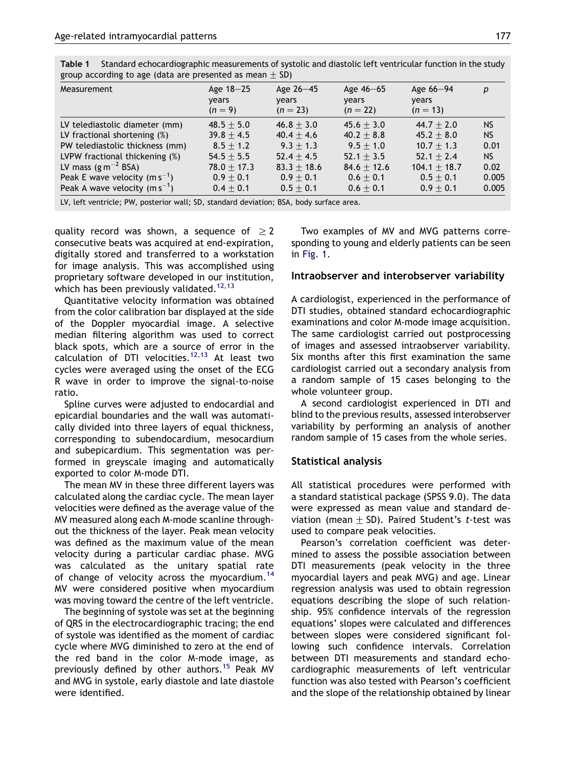<span id="page-2-0"></span>

| Table 1 | Standard echocardiographic measurements of systolic and diastolic left ventricular function in the study |
|---------|----------------------------------------------------------------------------------------------------------|
|         | group according to age (data are presented as mean $\pm$ SD) $^+$                                        |
|         |                                                                                                          |

| Measurement                                                                             | Age $18 - 25$<br>years<br>$(n = 9)$ | Age $26 - 45$<br>years<br>$(n = 23)$ | Age $46 - 65$<br>vears<br>$(n = 22)$ | Age $66 - 94$<br>years<br>$(n = 13)$ | p         |  |
|-----------------------------------------------------------------------------------------|-------------------------------------|--------------------------------------|--------------------------------------|--------------------------------------|-----------|--|
| LV telediastolic diameter (mm)                                                          | $48.5 + 5.0$                        | $46.8 + 3.0$                         | $45.6 + 3.0$                         | $44.7 + 2.0$                         | <b>NS</b> |  |
| LV fractional shortening (%)                                                            | $39.8 + 4.5$                        | $40.4 + 4.6$                         | $40.2 + 8.8$                         | $45.2 + 8.0$                         | <b>NS</b> |  |
| PW telediastolic thickness (mm)                                                         | $8.5 + 1.2$                         | $9.3 + 1.3$                          | $9.5 + 1.0$                          | $10.7 + 1.3$                         | 0.01      |  |
| LVPW fractional thickening (%)                                                          | $54.5 + 5.5$                        | $52.4 + 4.5$                         | $52.1 + 3.5$                         | $52.1 + 2.4$                         | NS.       |  |
| LV mass (g $m^{-2}$ BSA)                                                                | $78.0 + 17.3$                       | $83.3 + 18.6$                        | $84.6 + 12.6$                        | $104.1 + 18.7$                       | 0.02      |  |
| Peak E wave velocity (m $s^{-1}$ )                                                      | $0.9 + 0.1$                         | $0.9 + 0.1$                          | $0.6 + 0.1$                          | $0.5 + 0.1$                          | 0.005     |  |
| Peak A wave velocity $(m s^{-1})$                                                       | $0.4 + 0.1$                         | $0.5 + 0.1$                          | $0.6 + 0.1$                          | $0.9 + 0.1$                          | 0.005     |  |
| LV, left ventricle; PW, posterior wall; SD, standard deviation; BSA, body surface area. |                                     |                                      |                                      |                                      |           |  |

quality record was shown, a sequence of  $\geq 2$ consecutive beats was acquired at end-expiration, digitally stored and transferred to a workstation for image analysis. This was accomplished using proprietary software developed in our institution, which has been previously validated.<sup>[12,13](#page-9-0)</sup>

Quantitative velocity information was obtained from the color calibration bar displayed at the side of the Doppler myocardial image. A selective median filtering algorithm was used to correct black spots, which are a source of error in the calculation of DTI velocities. $12,13$  At least two cycles were averaged using the onset of the ECG R wave in order to improve the signal-to-noise ratio.

Spline curves were adjusted to endocardial and epicardial boundaries and the wall was automatically divided into three layers of equal thickness, corresponding to subendocardium, mesocardium and subepicardium. This segmentation was performed in greyscale imaging and automatically exported to color M-mode DTI.

The mean MV in these three different layers was calculated along the cardiac cycle. The mean layer velocities were defined as the average value of the MV measured along each M-mode scanline throughout the thickness of the layer. Peak mean velocity was defined as the maximum value of the mean velocity during a particular cardiac phase. MVG was calculated as the unitary spatial rate of change of velocity across the myocardium.<sup>[14](#page-9-0)</sup> MV were considered positive when myocardium was moving toward the centre of the left ventricle.

The beginning of systole was set at the beginning of QRS in the electrocardiographic tracing; the end of systole was identified as the moment of cardiac cycle where MVG diminished to zero at the end of the red band in the color M-mode image, as previously defined by other authors.<sup>[15](#page-9-0)</sup> Peak MV and MVG in systole, early diastole and late diastole were identified.

Two examples of MV and MVG patterns corresponding to young and elderly patients can be seen in [Fig. 1.](#page-3-0)

#### Intraobserver and interobserver variability

A cardiologist, experienced in the performance of DTI studies, obtained standard echocardiographic examinations and color M-mode image acquisition. The same cardiologist carried out postprocessing of images and assessed intraobserver variability. Six months after this first examination the same cardiologist carried out a secondary analysis from a random sample of 15 cases belonging to the whole volunteer group.

A second cardiologist experienced in DTI and blind to the previous results, assessed interobserver variability by performing an analysis of another random sample of 15 cases from the whole series.

#### Statistical analysis

All statistical procedures were performed with a standard statistical package (SPSS 9.0). The data were expressed as mean value and standard deviation (mean  $\pm$  SD). Paired Student's t-test was used to compare peak velocities.

Pearson's correlation coefficient was determined to assess the possible association between DTI measurements (peak velocity in the three myocardial layers and peak MVG) and age. Linear regression analysis was used to obtain regression equations describing the slope of such relationship. 95% confidence intervals of the regression equations' slopes were calculated and differences between slopes were considered significant following such confidence intervals. Correlation between DTI measurements and standard echocardiographic measurements of left ventricular function was also tested with Pearson's coefficient and the slope of the relationship obtained by linear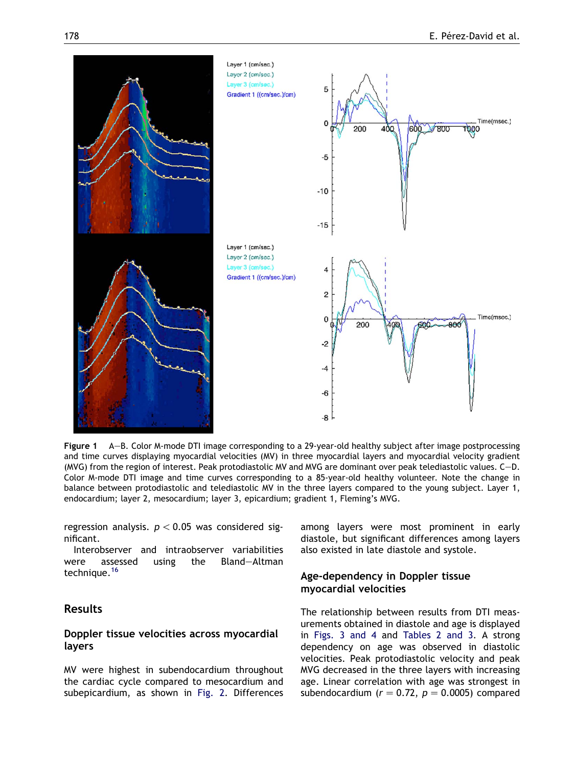<span id="page-3-0"></span>

Figure 1 A-B. Color M-mode DTI image corresponding to a 29-year-old healthy subject after image postprocessing and time curves displaying myocardial velocities (MV) in three myocardial layers and myocardial velocity gradient (MVG) from the region of interest. Peak protodiastolic MV and MVG are dominant over peak telediastolic values.  $C-D$ . Color M-mode DTI image and time curves corresponding to a 85-year-old healthy volunteer. Note the change in balance between protodiastolic and telediastolic MV in the three layers compared to the young subject. Layer 1, endocardium; layer 2, mesocardium; layer 3, epicardium; gradient 1, Fleming's MVG.

regression analysis.  $p < 0.05$  was considered significant.

Interobserver and intraobserver variabilities were assessed using the Bland-Altman technique.<sup>[16](#page-10-0)</sup>

## Results

## Doppler tissue velocities across myocardial layers

MV were highest in subendocardium throughout the cardiac cycle compared to mesocardium and subepicardium, as shown in [Fig. 2.](#page-4-0) Differences

among layers were most prominent in early diastole, but significant differences among layers also existed in late diastole and systole.

## Age-dependency in Doppler tissue myocardial velocities

The relationship between results from DTI measurements obtained in diastole and age is displayed in [Figs. 3 and 4](#page-4-0) and [Tables 2 and 3.](#page-5-0) A strong dependency on age was observed in diastolic velocities. Peak protodiastolic velocity and peak MVG decreased in the three layers with increasing age. Linear correlation with age was strongest in subendocardium ( $r = 0.72$ ,  $p = 0.0005$ ) compared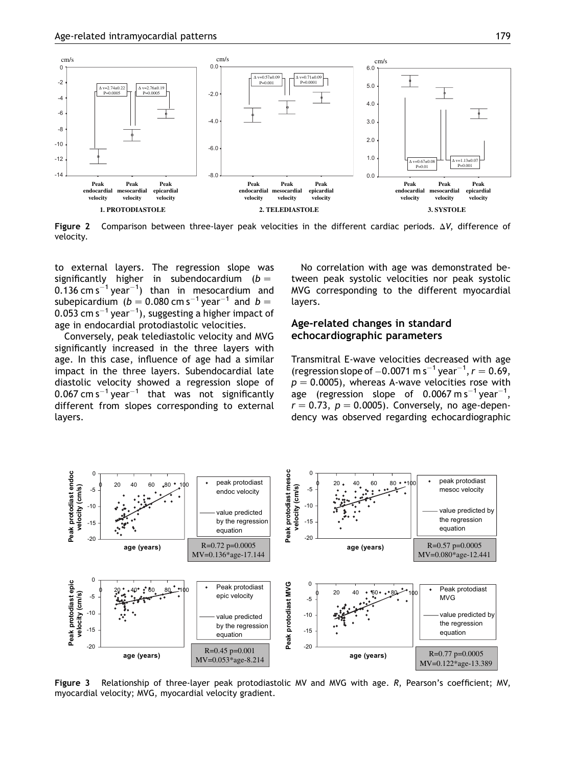<span id="page-4-0"></span>

Figure 2 Comparison between three-layer peak velocities in the different cardiac periods. *D*V, difference of velocity.

to external layers. The regression slope was significantly higher in subendocardium  $(b =$  $0.136$  cm s<sup>-1</sup> year<sup>-1</sup>) than in mesocardium and subepicardium ( $b = 0.080$  cm s<sup>-1</sup> year<sup>-1</sup> and  $b =$ 0.053 cm s $^{-1}$  year $^{-1}$ ), suggesting a higher impact of age in endocardial protodiastolic velocities.

Conversely, peak telediastolic velocity and MVG significantly increased in the three layers with age. In this case, influence of age had a similar impact in the three layers. Subendocardial late diastolic velocity showed a regression slope of  $0.067$  cm s<sup>-1</sup> year<sup>-1</sup> that was not significantly different from slopes corresponding to external layers.

No correlation with age was demonstrated between peak systolic velocities nor peak systolic MVG corresponding to the different myocardial layers.

#### Age-related changes in standard echocardiographic parameters

Transmitral E-wave velocities decreased with age (regression slope of  $-0.0071$  m s<sup>-1</sup> year<sup>-1</sup>,  $r = 0.69$ ,  $p = 0.0005$ ), whereas A-wave velocities rose with  $\rm{age}$  (regression slope of 0.0067 m s $^{-1}$  year $^{-1}$ ,  $r = 0.73$ ,  $p = 0.0005$ ). Conversely, no age-dependency was observed regarding echocardiographic



Figure 3 Relationship of three-layer peak protodiastolic MV and MVG with age. R, Pearson's coefficient; MV, myocardial velocity; MVG, myocardial velocity gradient.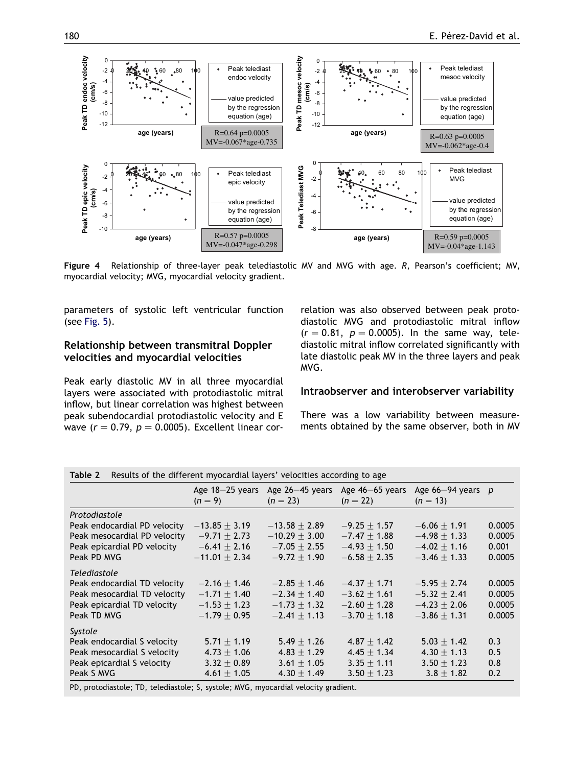<span id="page-5-0"></span>

Figure 4 Relationship of three-layer peak telediastolic MV and MVG with age. R, Pearson's coefficient; MV, myocardial velocity; MVG, myocardial velocity gradient.

parameters of systolic left ventricular function (see [Fig. 5\)](#page-6-0).

## Relationship between transmitral Doppler velocities and myocardial velocities

Peak early diastolic MV in all three myocardial layers were associated with protodiastolic mitral inflow, but linear correlation was highest between peak subendocardial protodiastolic velocity and E wave ( $r = 0.79$ ,  $p = 0.0005$ ). Excellent linear correlation was also observed between peak protodiastolic MVG and protodiastolic mitral inflow  $(r = 0.81, p = 0.0005)$ . In the same way, telediastolic mitral inflow correlated significantly with late diastolic peak MV in the three layers and peak MVG.

#### Intraobserver and interobserver variability

There was a low variability between measure-

|                                                                                     | $(n = 9)$       | Age 18-25 years Age 26-45 years Age 46-65 years<br>$(n = 23)$ | $(n = 22)$     | Age $66-94$ years p<br>$(n = 13)$ |        |  |
|-------------------------------------------------------------------------------------|-----------------|---------------------------------------------------------------|----------------|-----------------------------------|--------|--|
| Protodiastole                                                                       |                 |                                                               |                |                                   |        |  |
| Peak endocardial PD velocity                                                        | $-13.85 + 3.19$ | $-13.58 + 2.89$                                               | $-9.25 + 1.57$ | $-6.06 + 1.91$                    | 0.0005 |  |
| Peak mesocardial PD velocity                                                        | $-9.71 + 2.73$  | $-10.29 + 3.00$                                               | $-7.47 + 1.88$ | $-4.98 + 1.33$                    | 0.0005 |  |
| Peak epicardial PD velocity                                                         | $-6.41 + 2.16$  | $-7.05 + 2.55$                                                | $-4.93 + 1.50$ | $-4.02 + 1.16$                    | 0.001  |  |
| Peak PD MVG                                                                         | $-11.01 + 2.34$ | $-9.72 + 1.90$                                                | $-6.58 + 2.35$ | $-3.46 + 1.33$                    | 0.0005 |  |
| <b>Telediastole</b>                                                                 |                 |                                                               |                |                                   |        |  |
| Peak endocardial TD velocity                                                        | $-2.16 + 1.46$  | $-2.85 + 1.46$                                                | $-4.37 + 1.71$ | $-5.95 + 2.74$                    | 0.0005 |  |
| Peak mesocardial TD velocity                                                        | $-1.71 + 1.40$  | $-2.34 + 1.40$                                                | $-3.62 + 1.61$ | $-5.32 + 2.41$                    | 0.0005 |  |
| Peak epicardial TD velocity                                                         | $-1.53 + 1.23$  | $-1.73 + 1.32$                                                | $-2.60 + 1.28$ | $-4.23 + 2.06$                    | 0.0005 |  |
| Peak TD MVG                                                                         | $-1.79 + 0.95$  | $-2.41 + 1.13$                                                | $-3.70 + 1.18$ | $-3.86 + 1.31$                    | 0.0005 |  |
| Systole                                                                             |                 |                                                               |                |                                   |        |  |
| Peak endocardial S velocity                                                         | $5.71 + 1.19$   | $5.49 + 1.26$                                                 | $4.87 + 1.42$  | $5.03 + 1.42$                     | 0.3    |  |
| Peak mesocardial S velocity                                                         | $4.73 + 1.06$   | $4.83 + 1.29$                                                 | $4.45 + 1.34$  | $4.30 + 1.13$                     | 0.5    |  |
| Peak epicardial S velocity                                                          | $3.32 + 0.89$   | $3.61 + 1.05$                                                 | $3.35 + 1.11$  | $3.50 + 1.23$                     | 0.8    |  |
| Peak S MVG                                                                          | $4.61 + 1.05$   | $4.30 + 1.49$                                                 | $3.50 + 1.23$  | $3.8 + 1.82$                      | 0.2    |  |
| PD, protodiastole; TD, telediastole; S, systole; MVG, myocardial velocity gradient. |                 |                                                               |                |                                   |        |  |

Table 2 Results of the different myocardial layers' velocities according to age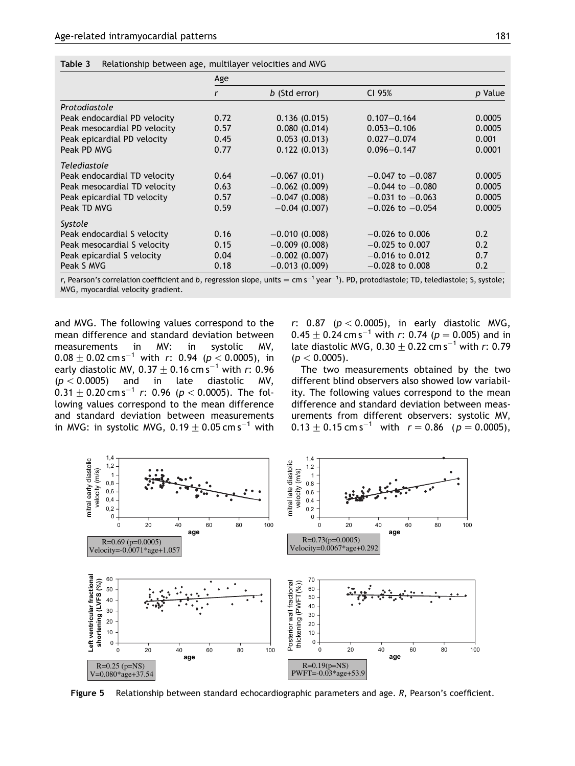<span id="page-6-0"></span>

| Table 3 | Relationship between age, multilayer velocities and MVG |  |  |
|---------|---------------------------------------------------------|--|--|
|         |                                                         |  |  |

|                              | Age  |                  |                      |         |  |
|------------------------------|------|------------------|----------------------|---------|--|
|                              | r    | b (Std error)    | CI 95%               | p Value |  |
| Protodiastole                |      |                  |                      |         |  |
| Peak endocardial PD velocity | 0.72 | 0.136(0.015)     | $0.107 - 0.164$      | 0.0005  |  |
| Peak mesocardial PD velocity | 0.57 | 0.080(0.014)     | $0.053 - 0.106$      | 0.0005  |  |
| Peak epicardial PD velocity  | 0.45 | 0.053(0.013)     | $0.027 - 0.074$      | 0.001   |  |
| Peak PD MVG                  | 0.77 | 0.122(0.013)     | $0.096 - 0.147$      | 0.0001  |  |
| <b>Telediastole</b>          |      |                  |                      |         |  |
| Peak endocardial TD velocity | 0.64 | $-0.067(0.01)$   | $-0.047$ to $-0.087$ | 0.0005  |  |
| Peak mesocardial TD velocity | 0.63 | $-0.062(0.009)$  | $-0.044$ to $-0.080$ | 0.0005  |  |
| Peak epicardial TD velocity  | 0.57 | $-0.047(0.008)$  | $-0.031$ to $-0.063$ | 0.0005  |  |
| Peak TD MVG                  | 0.59 | $-0.04(0.007)$   | $-0.026$ to $-0.054$ | 0.0005  |  |
| Systole                      |      |                  |                      |         |  |
| Peak endocardial S velocity  | 0.16 | $-0.010(0.008)$  | $-0.026$ to 0.006    | 0.2     |  |
| Peak mesocardial S velocity  | 0.15 | $-0.009(0.008)$  | $-0.025$ to 0.007    | 0.2     |  |
| Peak epicardial S velocity   | 0.04 | $-0.002$ (0.007) | $-0.016$ to 0.012    | 0.7     |  |
| Peak S MVG                   | 0.18 | $-0.013(0.009)$  | $-0.028$ to 0.008    | 0.2     |  |

r, Pearson's correlation coefficient and b, regression slope, units  $=$  cm s<sup>-1</sup> year<sup>-1</sup>). PD, protodiastole; TD, telediastole; S, systole; MVG, myocardial velocity gradient.

and MVG. The following values correspond to the mean difference and standard deviation between measurements in MV: in systolic MV,  $0.08 \pm 0.02$  cm s<sup>-1</sup> with r: 0.94 (p < 0.0005), in early diastolic MV,  $0.37 \pm 0.16$  cm s<sup>-1</sup> with r: 0.96<br>( $p < 0.0005$ ) and in late diastolic MV,  $(p < 0.0005)$  and in late diastolic MV,  $0.31 + 0.20$  cm s<sup>-1</sup> r: 0.96 (p < 0.0005). The following values correspond to the mean difference and standard deviation between measurements in MVG: in systolic MVG,  $0.19 + 0.05$  cm s<sup>-1</sup> with r:  $0.87$  ( $p < 0.0005$ ), in early diastolic MVG, 0.45  $\pm$  0.24 cm s<sup>-1</sup> with r: 0.74 (p = 0.005) and in late diastolic MVG,  $0.30 \pm 0.22$  cm s<sup>-1</sup> with r: 0.79  $(p < 0.0005)$ .

The two measurements obtained by the two different blind observers also showed low variability. The following values correspond to the mean difference and standard deviation between measurements from different observers: systolic MV,  $0.13 + 0.15$  cm s<sup>-1</sup> with  $r = 0.86$  (p = 0.0005),



Figure 5 Relationship between standard echocardiographic parameters and age. R, Pearson's coefficient.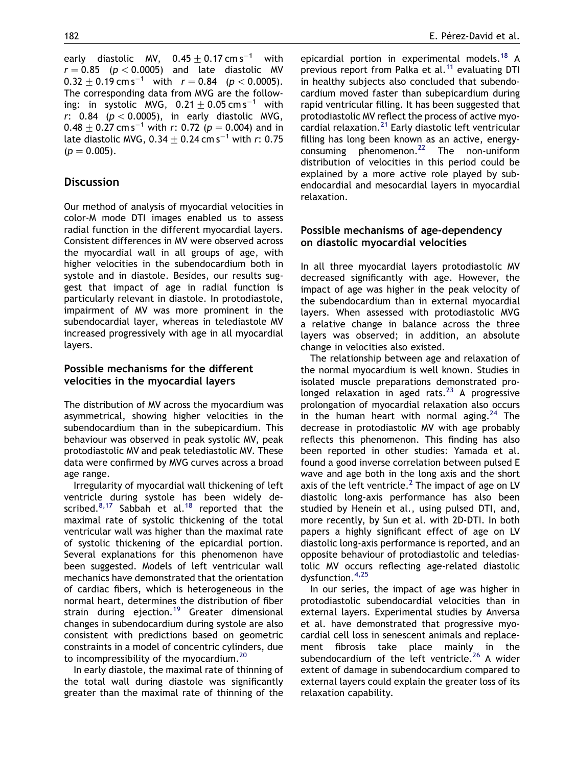early diastolic MV,  $0.45 \pm 0.17$  cm s<sup>-1</sup> with  $r = 0.85$  ( $p < 0.0005$ ) and late diastolic MV  $0.32 \pm 0.19$  cm s<sup>-1</sup> with  $r = 0.84$  ( $p < 0.0005$ ). The corresponding data from MVG are the following: in systolic MVG,  $0.21 \pm 0.05$  cm s<sup>-1</sup> with r: 0.84 ( $p < 0.0005$ ), in early diastolic MVG, 0.48  $\pm$  0.27 cm s<sup>-1</sup> with r: 0.72 (p = 0.004) and in late diastolic MVG,  $0.34 + 0.24$  cm s<sup>-1</sup> with r: 0.75  $(p = 0.005)$ .

# **Discussion**

Our method of analysis of myocardial velocities in color-M mode DTI images enabled us to assess radial function in the different myocardial layers. Consistent differences in MV were observed across the myocardial wall in all groups of age, with higher velocities in the subendocardium both in systole and in diastole. Besides, our results suggest that impact of age in radial function is particularly relevant in diastole. In protodiastole, impairment of MV was more prominent in the subendocardial layer, whereas in telediastole MV increased progressively with age in all myocardial layers.

#### Possible mechanisms for the different velocities in the myocardial layers

The distribution of MV across the myocardium was asymmetrical, showing higher velocities in the subendocardium than in the subepicardium. This behaviour was observed in peak systolic MV, peak protodiastolic MV and peak telediastolic MV. These data were confirmed by MVG curves across a broad age range.

Irregularity of myocardial wall thickening of left ventricle during systole has been widely described. $8,17$  Sabbah et al.<sup>[18](#page-10-0)</sup> reported that the maximal rate of systolic thickening of the total ventricular wall was higher than the maximal rate of systolic thickening of the epicardial portion. Several explanations for this phenomenon have been suggested. Models of left ventricular wall mechanics have demonstrated that the orientation of cardiac fibers, which is heterogeneous in the normal heart, determines the distribution of fiber strain during ejection.<sup>[19](#page-10-0)</sup> Greater dimensional changes in subendocardium during systole are also consistent with predictions based on geometric constraints in a model of concentric cylinders, due to incompressibility of the myocardium.<sup>[20](#page-10-0)</sup>

In early diastole, the maximal rate of thinning of the total wall during diastole was significantly greater than the maximal rate of thinning of the

epicardial portion in experimental models.<sup>18</sup> A previous report from Palka et al.<sup>[11](#page-9-0)</sup> evaluating DTI in healthy subjects also concluded that subendocardium moved faster than subepicardium during rapid ventricular filling. It has been suggested that protodiastolic MV reflect the process of active myocardial relaxation.<sup>21</sup> Early diastolic left ventricular filling has long been known as an active, energyconsuming phenomenon.[22](#page-10-0) The non-uniform distribution of velocities in this period could be explained by a more active role played by subendocardial and mesocardial layers in myocardial

## Possible mechanisms of age-dependency on diastolic myocardial velocities

relaxation.

In all three myocardial layers protodiastolic MV decreased significantly with age. However, the impact of age was higher in the peak velocity of the subendocardium than in external myocardial layers. When assessed with protodiastolic MVG a relative change in balance across the three layers was observed; in addition, an absolute change in velocities also existed.

The relationship between age and relaxation of the normal myocardium is well known. Studies in isolated muscle preparations demonstrated pro-longed relaxation in aged rats.<sup>[23](#page-10-0)</sup> A progressive prolongation of myocardial relaxation also occurs in the human heart with normal aging.<sup>[24](#page-10-0)</sup> The decrease in protodiastolic MV with age probably reflects this phenomenon. This finding has also been reported in other studies: Yamada et al. found a good inverse correlation between pulsed E wave and age both in the long axis and the short axis of the left ventricle.<sup>[2](#page-9-0)</sup> The impact of age on LV diastolic long-axis performance has also been studied by Henein et al., using pulsed DTI, and, more recently, by Sun et al. with 2D-DTI. In both papers a highly significant effect of age on LV diastolic long-axis performance is reported, and an opposite behaviour of protodiastolic and telediastolic MV occurs reflecting age-related diastolic dysfunction.[4,25](#page-9-0)

In our series, the impact of age was higher in protodiastolic subendocardial velocities than in external layers. Experimental studies by Anversa et al. have demonstrated that progressive myocardial cell loss in senescent animals and replacement fibrosis take place mainly in the subendocardium of the left ventricle.<sup>[26](#page-10-0)</sup> A wider extent of damage in subendocardium compared to external layers could explain the greater loss of its relaxation capability.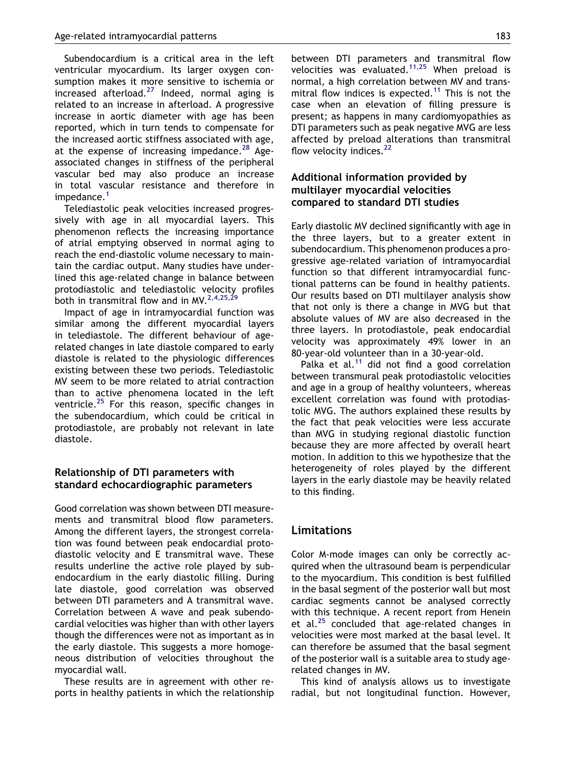Subendocardium is a critical area in the left ventricular myocardium. Its larger oxygen consumption makes it more sensitive to ischemia or increased afterload. $^{27}$  $^{27}$  $^{27}$  Indeed, normal aging is related to an increase in afterload. A progressive increase in aortic diameter with age has been reported, which in turn tends to compensate for the increased aortic stiffness associated with age, at the expense of increasing impedance.<sup>[28](#page-10-0)</sup> Ageassociated changes in stiffness of the peripheral vascular bed may also produce an increase in total vascular resistance and therefore in impedance.<sup>[1](#page-9-0)</sup>

Telediastolic peak velocities increased progressively with age in all myocardial layers. This phenomenon reflects the increasing importance of atrial emptying observed in normal aging to reach the end-diastolic volume necessary to maintain the cardiac output. Many studies have underlined this age-related change in balance between protodiastolic and telediastolic velocity profiles both in transmitral flow and in MV.<sup>[2,4,25,29](#page-9-0)</sup>

Impact of age in intramyocardial function was similar among the different myocardial layers in telediastole. The different behaviour of agerelated changes in late diastole compared to early diastole is related to the physiologic differences existing between these two periods. Telediastolic MV seem to be more related to atrial contraction than to active phenomena located in the left ventricle.<sup>[25](#page-10-0)</sup> For this reason, specific changes in the subendocardium, which could be critical in protodiastole, are probably not relevant in late diastole.

#### Relationship of DTI parameters with standard echocardiographic parameters

Good correlation was shown between DTI measurements and transmitral blood flow parameters. Among the different layers, the strongest correlation was found between peak endocardial protodiastolic velocity and E transmitral wave. These results underline the active role played by subendocardium in the early diastolic filling. During late diastole, good correlation was observed between DTI parameters and A transmitral wave. Correlation between A wave and peak subendocardial velocities was higher than with other layers though the differences were not as important as in the early diastole. This suggests a more homogeneous distribution of velocities throughout the myocardial wall.

These results are in agreement with other reports in healthy patients in which the relationship between DTI parameters and transmitral flow velocities was evaluated.<sup>[11,25](#page-9-0)</sup> When preload is normal, a high correlation between MV and trans-mitral flow indices is expected.<sup>[11](#page-9-0)</sup> This is not the case when an elevation of filling pressure is present; as happens in many cardiomyopathies as DTI parameters such as peak negative MVG are less affected by preload alterations than transmitral flow velocity indices.<sup>[22](#page-10-0)</sup>

### Additional information provided by multilayer myocardial velocities compared to standard DTI studies

Early diastolic MV declined significantly with age in the three layers, but to a greater extent in subendocardium. This phenomenon produces a progressive age-related variation of intramyocardial function so that different intramyocardial functional patterns can be found in healthy patients. Our results based on DTI multilayer analysis show that not only is there a change in MVG but that absolute values of MV are also decreased in the three layers. In protodiastole, peak endocardial velocity was approximately 49% lower in an 80-year-old volunteer than in a 30-year-old.

Palka et al. $^{11}$  $^{11}$  $^{11}$  did not find a good correlation between transmural peak protodiastolic velocities and age in a group of healthy volunteers, whereas excellent correlation was found with protodiastolic MVG. The authors explained these results by the fact that peak velocities were less accurate than MVG in studying regional diastolic function because they are more affected by overall heart motion. In addition to this we hypothesize that the heterogeneity of roles played by the different layers in the early diastole may be heavily related to this finding.

## Limitations

Color M-mode images can only be correctly acquired when the ultrasound beam is perpendicular to the myocardium. This condition is best fulfilled in the basal segment of the posterior wall but most cardiac segments cannot be analysed correctly with this technique. A recent report from Henein et al. $^{25}$  $^{25}$  $^{25}$  concluded that age-related changes in velocities were most marked at the basal level. It can therefore be assumed that the basal segment of the posterior wall is a suitable area to study agerelated changes in MV.

This kind of analysis allows us to investigate radial, but not longitudinal function. However,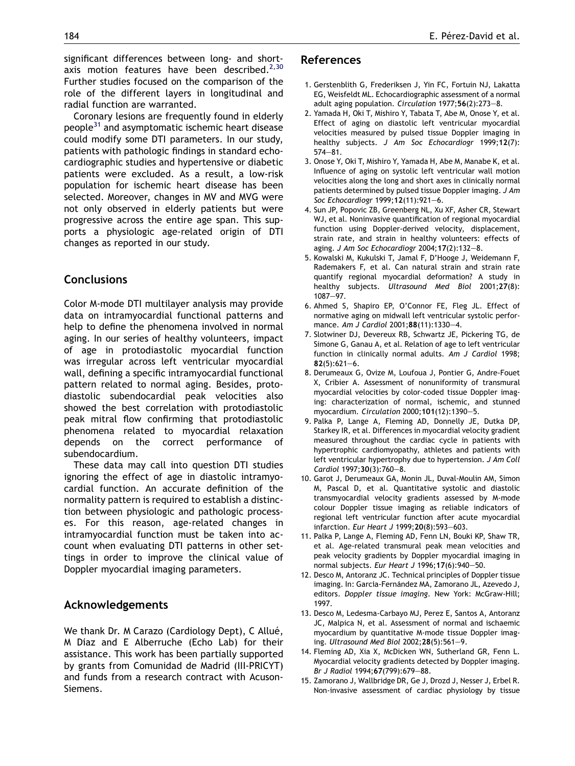<span id="page-9-0"></span>significant differences between long- and shortaxis motion features have been described. $2,30$ Further studies focused on the comparison of the role of the different layers in longitudinal and radial function are warranted.

Coronary lesions are frequently found in elderly people[31](#page-10-0) and asymptomatic ischemic heart disease could modify some DTI parameters. In our study, patients with pathologic findings in standard echocardiographic studies and hypertensive or diabetic patients were excluded. As a result, a low-risk population for ischemic heart disease has been selected. Moreover, changes in MV and MVG were not only observed in elderly patients but were progressive across the entire age span. This supports a physiologic age-related origin of DTI changes as reported in our study.

# **Conclusions**

Color M-mode DTI multilayer analysis may provide data on intramyocardial functional patterns and help to define the phenomena involved in normal aging. In our series of healthy volunteers, impact of age in protodiastolic myocardial function was irregular across left ventricular myocardial wall, defining a specific intramyocardial functional pattern related to normal aging. Besides, protodiastolic subendocardial peak velocities also showed the best correlation with protodiastolic peak mitral flow confirming that protodiastolic phenomena related to myocardial relaxation depends on the correct performance of subendocardium.

These data may call into question DTI studies ignoring the effect of age in diastolic intramyocardial function. An accurate definition of the normality pattern is required to establish a distinction between physiologic and pathologic processes. For this reason, age-related changes in intramyocardial function must be taken into account when evaluating DTI patterns in other settings in order to improve the clinical value of Doppler myocardial imaging parameters.

## Acknowledgements

We thank Dr. M Carazo (Cardiology Dept), C Allué, M Díaz and E Alberruche (Echo Lab) for their assistance. This work has been partially supported by grants from Comunidad de Madrid (III-PRICYT) and funds from a research contract with Acuson-Siemens.

#### References

- 1. Gerstenblith G, Frederiksen J, Yin FC, Fortuin NJ, Lakatta EG, Weisfeldt ML. Echocardiographic assessment of a normal adult aging population. Circulation 1977;56(2):273-8.
- 2. Yamada H, Oki T, Mishiro Y, Tabata T, Abe M, Onose Y, et al. Effect of aging on diastolic left ventricular myocardial velocities measured by pulsed tissue Doppler imaging in healthy subjects. J Am Soc Echocardiogr 1999;12(7):  $574 - 81.$
- 3. Onose Y, Oki T, Mishiro Y, Yamada H, Abe M, Manabe K, et al. Influence of aging on systolic left ventricular wall motion velocities along the long and short axes in clinically normal patients determined by pulsed tissue Doppler imaging. J Am .<br>Soc Echocardiogr 1999;12(11):921-6.
- 4. Sun JP, Popovic ZB, Greenberg NL, Xu XF, Asher CR, Stewart WJ, et al. Noninvasive quantification of regional myocardial function using Doppler-derived velocity, displacement, strain rate, and strain in healthy volunteers: effects of aging. J Am Soc Echocardiogr  $2004;17(2):132-8$ .
- 5. Kowalski M, Kukulski T, Jamal F, D'Hooge J, Weidemann F, Rademakers F, et al. Can natural strain and strain rate quantify regional myocardial deformation? A study in healthy subjects. Ultrasound Med Biol 2001;27(8):  $1087 - 97$ .
- 6. Ahmed S, Shapiro EP, O'Connor FE, Fleg JL. Effect of normative aging on midwall left ventricular systolic performance. Am J Cardiol 2001;88(11):1330-4.
- 7. Slotwiner DJ, Devereux RB, Schwartz JE, Pickering TG, de Simone G, Ganau A, et al. Relation of age to left ventricular function in clinically normal adults. Am J Cardiol 1998;  $82(5):621-6.$
- 8. Derumeaux G, Ovize M, Loufoua J, Pontier G, Andre-Fouet X, Cribier A. Assessment of nonuniformity of transmural myocardial velocities by color-coded tissue Doppler imaging: characterization of normal, ischemic, and stunned myocardium. Circulation 2000;101(12):1390-5.
- 9. Palka P, Lange A, Fleming AD, Donnelly JE, Dutka DP, Starkey IR, et al. Differences in myocardial velocity gradient measured throughout the cardiac cycle in patients with hypertrophic cardiomyopathy, athletes and patients with left ventricular hypertrophy due to hypertension. J Am Coll Cardiol 1997:30(3):760-8.
- 10. Garot J, Derumeaux GA, Monin JL, Duval-Moulin AM, Simon M, Pascal D, et al. Quantitative systolic and diastolic transmyocardial velocity gradients assessed by M-mode colour Doppler tissue imaging as reliable indicators of regional left ventricular function after acute myocardial infarction. Eur Heart J 1999; 20(8): 593-603.
- 11. Palka P, Lange A, Fleming AD, Fenn LN, Bouki KP, Shaw TR, et al. Age-related transmural peak mean velocities and peak velocity gradients by Doppler myocardial imaging in normal subjects. Eur Heart J 1996;17(6):940-50.
- 12. Desco M, Antoranz JC. Technical principles of Doppler tissue imaging. In: García-Fernández MA, Zamorano JL, Azevedo J, editors. Doppler tissue imaging. New York: McGraw-Hill; 1997.
- 13. Desco M, Ledesma-Carbayo MJ, Perez E, Santos A, Antoranz JC, Malpica N, et al. Assessment of normal and ischaemic myocardium by quantitative M-mode tissue Doppler imaging. Ultrasound Med Biol  $2002; 28(5): 561-9$ .
- 14. Fleming AD, Xia X, McDicken WN, Sutherland GR, Fenn L. Myocardial velocity gradients detected by Doppler imaging. Br J Radiol 1994;67(799):679-88.
- 15. Zamorano J, Wallbridge DR, Ge J, Drozd J, Nesser J, Erbel R. Non-invasive assessment of cardiac physiology by tissue